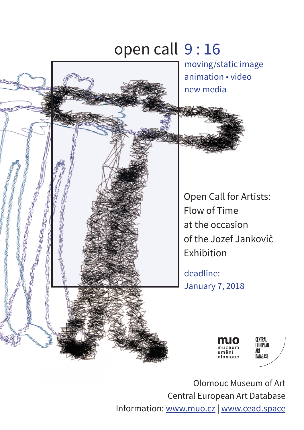# open call 9 : 16moving/static image animation • video new media **FORTAGE DE LA POST** eller andere gestellt gestellt av den stadstellt av den stadstellt av den stadstellt av den stadstellt av den <br>Under den stadstellt av den stadstellt av den stadstellt av den stadstellt av den stadstellt av den stadstell<br>S Open Call for Artists: Flow of Time at the occasion of the Jozef Jankovič Exhibition deadline: January 7, 2018 CENTRAL<br>EUROPEAN ART ımění DATABASE olomouc

Olomouc Museum of Art Central European Art Database Information: www.muo.cz | www.cead.space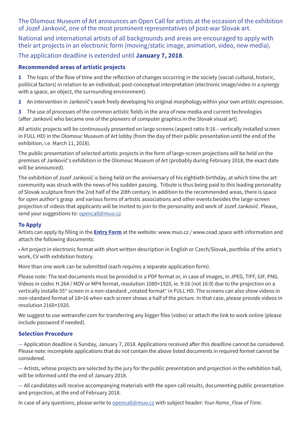The Olomouc Museum of Art announces an Open Call for artists at the occasion of the exhibition of Jozef Jankovič, one of the most prominent representatives of post-war Slovak art.

National and international artists of all backgrounds and areas are encouraged to apply with their art projects in an electronic form (moving/static image, animation, video, new media).

The application deadline is extended until **January 7, 2018**.

### **Recommended areas of artistic projects**

**1** The topic of the flow of time and the reflection of changes occurring in the society (social-cultural, historic, political factors) in relation to an individual; post-conceptual interpretation (electronic image/video in a synergy with a space, an object, the surrounding environment).

**2** An intervention in Jankovič's work freely developing his original morphology within your own artistic expression.

**3** The use of processes of the common artistic fields in the area of new media and current technologies (after Jankovič who became one of the pioneers of computer graphics in the Slovak visual art).

All artistic projects will be continuously presented on large screens (aspect ratio 9:16 – vertically installed screen in FULL HD) in the Olomouc Museum of Art lobby (from the day of their public presentation until the end of the exhibition, i.e. March 11, 2018).

The public presentation of selected artistic projects in the form of large-screen projections will be held on the premises of Jankovič's exhibition in the Olomouc Museum of Art (probably during February 2018, the exact date will be announced).

The exhibition of Jozef Jankovič is being held on the anniversary of his eightieth birthday, at which time the art community was struck with the news of his sudden passing. Tribute is thus being paid to this leading personality of Slovak sculpture from the 2nd half of the 20th century. In addition to the recommended areas, there is space for open author's grasp and various forms of artistic associations and other events besides the large-screen projection of videos that applicants will be invited to join to the personality and work of Jozef Jankovič. Please, send your suggestions to: opencall@muo.cz

#### **To Apply**

Artists can apply by filling in the **Entry Form** at the website: www.muo.cz / www.cead.space with information and attach the following documents:

• Art project in electronic format with short written description in English or Czech/Slovak, portfolio of the artist's work, CV with exhibition history.

More than one work can be submitted (each requires a separate application form).

Please note: The text documents must be provided in a PDF format or, in case of images, in JPEG, TIFF, GIF, PNG. Videos in codec H.264 / MOV or MP4 format, resolution 1080×1920, ie. 9:16 (not 16:9) due to the projection on a vertically installe 55" screen in a non-standard "rotated format" in FULL HD. The screens can also show videos in non-standard format of 18×16 when each screen shows a half of the picture. In that case, please provide videos in resolution 2160×1920.

We suggest to use wetransfer.com for transferring any bigger files (video) or attach the link to work online (please include password if needed).

#### **Selection Procedure**

— Application deadline is Sunday, January 7, 2018. Applications received after this deadline cannot be considered. Please note: incomplete applications that do not contain the above listed documents in required formet cannot be considered.

— Artists, whose projects are selected by the jury for the public presentation and projection in the exhibition hall, will be informed until the end of January 2018.

— All candidates will receive accompanying materials with the open call results, documenting public presentation and projection, at the end of February 2018.

In case of any questions, please write to opencall@muo.cz with subject header: *Your Name\_Flow of Time*.